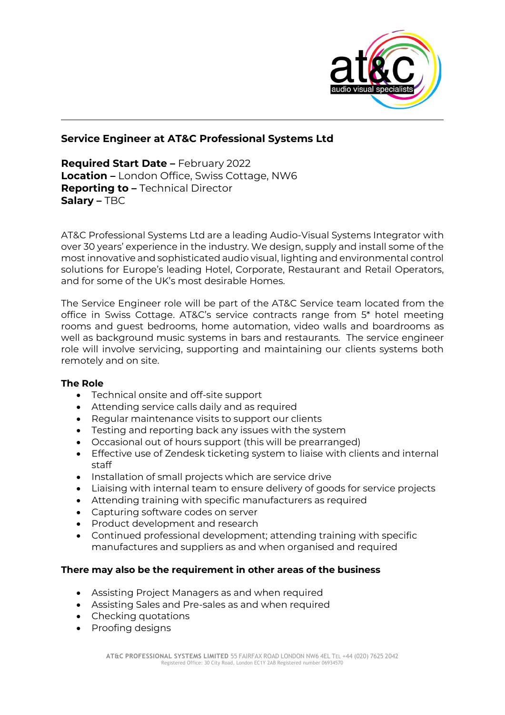

## **Service Engineer at AT&C Professional Systems Ltd**

**Required Start Date –** February 2022 **Location –** London Office, Swiss Cottage, NW6 **Reporting to –** Technical Director **Salary –** TBC

AT&C Professional Systems Ltd are a leading Audio-Visual Systems Integrator with over 30 years' experience in the industry. We design, supply and install some of the most innovative and sophisticated audio visual, lighting and environmental control solutions for Europe's leading Hotel, Corporate, Restaurant and Retail Operators, and for some of the UK's most desirable Homes.

The Service Engineer role will be part of the AT&C Service team located from the office in Swiss Cottage. AT&C's service contracts range from 5\* hotel meeting rooms and guest bedrooms, home automation, video walls and boardrooms as well as background music systems in bars and restaurants. The service engineer role will involve servicing, supporting and maintaining our clients systems both remotely and on site.

## **The Role**

- Technical onsite and off-site support
- Attending service calls daily and as required
- Regular maintenance visits to support our clients
- Testing and reporting back any issues with the system
- Occasional out of hours support (this will be prearranged)
- Effective use of Zendesk ticketing system to liaise with clients and internal staff
- Installation of small projects which are service drive
- Liaising with internal team to ensure delivery of goods for service projects
- Attending training with specific manufacturers as required
- Capturing software codes on server
- Product development and research
- Continued professional development; attending training with specific manufactures and suppliers as and when organised and required

## **There may also be the requirement in other areas of the business**

- Assisting Project Managers as and when required
- Assisting Sales and Pre-sales as and when required
- Checking quotations
- Proofing designs